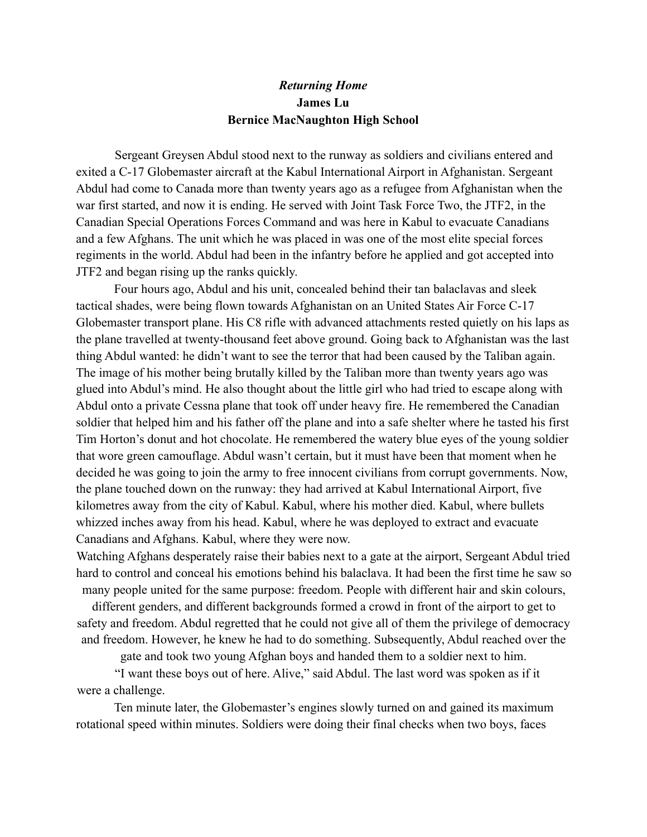## *Returning Home* **James Lu Bernice MacNaughton High School**

Sergeant Greysen Abdul stood next to the runway as soldiers and civilians entered and exited a C-17 Globemaster aircraft at the Kabul International Airport in Afghanistan. Sergeant Abdul had come to Canada more than twenty years ago as a refugee from Afghanistan when the war first started, and now it is ending. He served with Joint Task Force Two, the JTF2, in the Canadian Special Operations Forces Command and was here in Kabul to evacuate Canadians and a few Afghans. The unit which he was placed in was one of the most elite special forces regiments in the world. Abdul had been in the infantry before he applied and got accepted into JTF2 and began rising up the ranks quickly.

Four hours ago, Abdul and his unit, concealed behind their tan balaclavas and sleek tactical shades, were being flown towards Afghanistan on an United States Air Force C-17 Globemaster transport plane. His C8 rifle with advanced attachments rested quietly on his laps as the plane travelled at twenty-thousand feet above ground. Going back to Afghanistan was the last thing Abdul wanted: he didn't want to see the terror that had been caused by the Taliban again. The image of his mother being brutally killed by the Taliban more than twenty years ago was glued into Abdul's mind. He also thought about the little girl who had tried to escape along with Abdul onto a private Cessna plane that took off under heavy fire. He remembered the Canadian soldier that helped him and his father off the plane and into a safe shelter where he tasted his first Tim Horton's donut and hot chocolate. He remembered the watery blue eyes of the young soldier that wore green camouflage. Abdul wasn't certain, but it must have been that moment when he decided he was going to join the army to free innocent civilians from corrupt governments. Now, the plane touched down on the runway: they had arrived at Kabul International Airport, five kilometres away from the city of Kabul. Kabul, where his mother died. Kabul, where bullets whizzed inches away from his head. Kabul, where he was deployed to extract and evacuate Canadians and Afghans. Kabul, where they were now.

Watching Afghans desperately raise their babies next to a gate at the airport, Sergeant Abdul tried hard to control and conceal his emotions behind his balaclava. It had been the first time he saw so many people united for the same purpose: freedom. People with different hair and skin colours,

different genders, and different backgrounds formed a crowd in front of the airport to get to safety and freedom. Abdul regretted that he could not give all of them the privilege of democracy and freedom. However, he knew he had to do something. Subsequently, Abdul reached over the

gate and took two young Afghan boys and handed them to a soldier next to him.

"I want these boys out of here. Alive," said Abdul. The last word was spoken as if it were a challenge.

Ten minute later, the Globemaster's engines slowly turned on and gained its maximum rotational speed within minutes. Soldiers were doing their final checks when two boys, faces